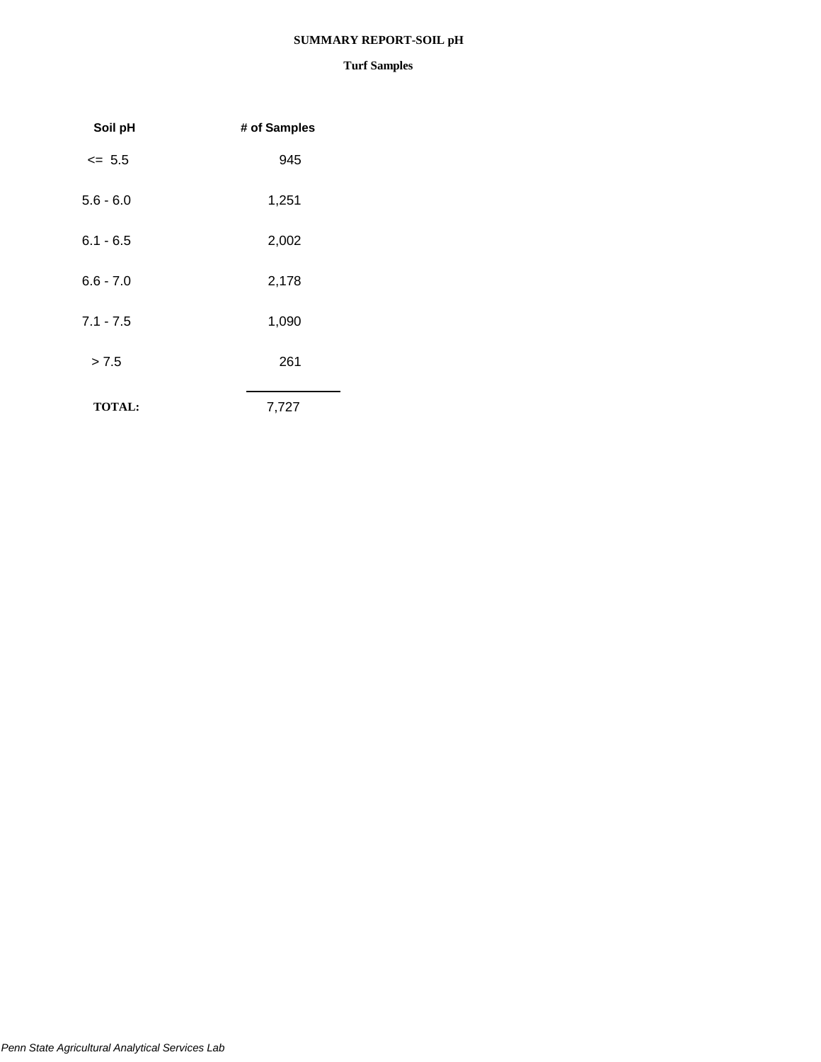## **SUMMARY REPORT-SOIL pH**

| Soil pH       | # of Samples |
|---------------|--------------|
| $\leq$ 5.5    | 945          |
| $5.6 - 6.0$   | 1,251        |
| $6.1 - 6.5$   | 2,002        |
| $6.6 - 7.0$   | 2,178        |
| $7.1 - 7.5$   | 1,090        |
| > 7.5         | 261          |
| <b>TOTAL:</b> | 7,727        |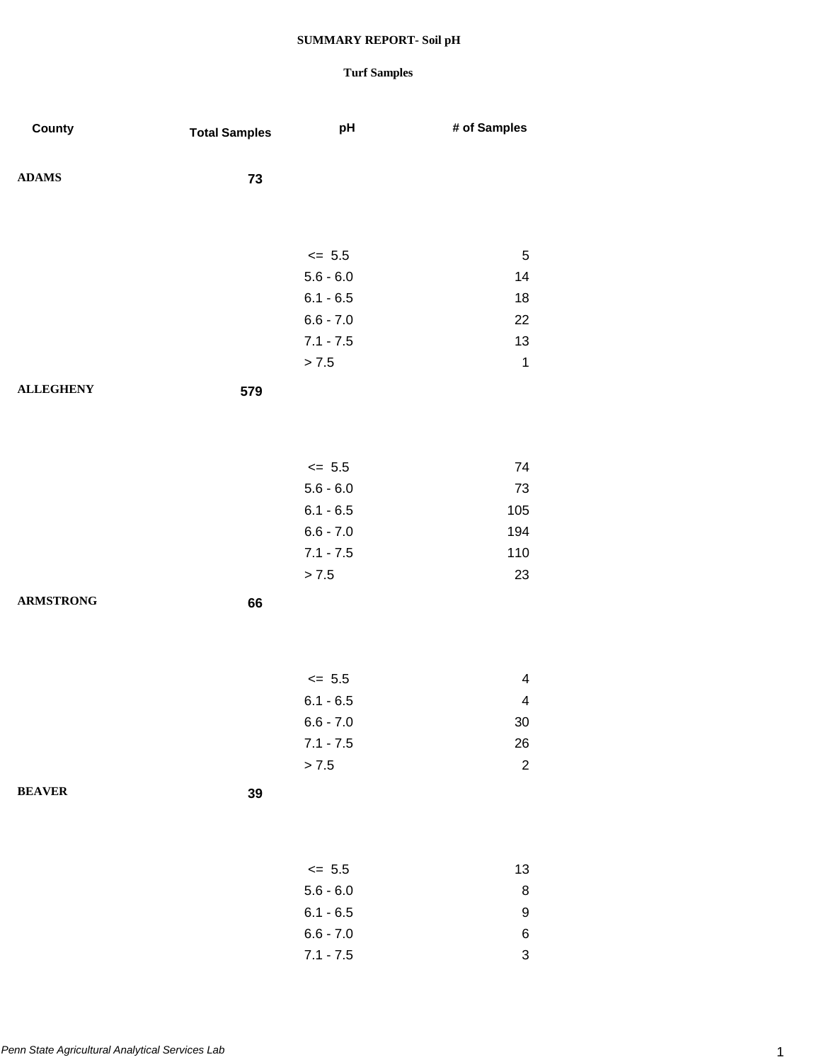| County           | <b>Total Samples</b> | pH          | # of Samples              |
|------------------|----------------------|-------------|---------------------------|
| <b>ADAMS</b>     | 73                   |             |                           |
|                  |                      |             |                           |
|                  |                      | $\leq$ 5.5  | 5                         |
|                  |                      | $5.6 - 6.0$ | 14                        |
|                  |                      | $6.1 - 6.5$ | 18                        |
|                  |                      | $6.6 - 7.0$ | 22                        |
|                  |                      | $7.1 - 7.5$ | 13                        |
|                  |                      | > 7.5       | $\mathbf{1}$              |
| <b>ALLEGHENY</b> | 579                  |             |                           |
|                  |                      |             |                           |
|                  |                      | $\leq 5.5$  | 74                        |
|                  |                      | $5.6 - 6.0$ | 73                        |
|                  |                      | $6.1 - 6.5$ | 105                       |
|                  |                      | $6.6 - 7.0$ | 194                       |
|                  |                      | $7.1 - 7.5$ | 110                       |
|                  |                      | > 7.5       | 23                        |
| <b>ARMSTRONG</b> | 66                   |             |                           |
|                  |                      |             |                           |
|                  |                      |             |                           |
|                  |                      | $\leq$ 5.5  | $\overline{4}$            |
|                  |                      | $6.1 - 6.5$ | $\overline{\mathbf{4}}$   |
|                  |                      | $6.6 - 7.0$ | 30                        |
|                  |                      | $7.1 - 7.5$ | 26                        |
|                  |                      | > 7.5       | $\sqrt{2}$                |
| <b>BEAVER</b>    | 39                   |             |                           |
|                  |                      |             |                           |
|                  |                      | $\leq$ 5.5  | 13                        |
|                  |                      | $5.6 - 6.0$ | 8                         |
|                  |                      | $6.1 - 6.5$ | 9                         |
|                  |                      | $6.6 - 7.0$ | 6                         |
|                  |                      | $7.1 - 7.5$ | $\ensuremath{\mathsf{3}}$ |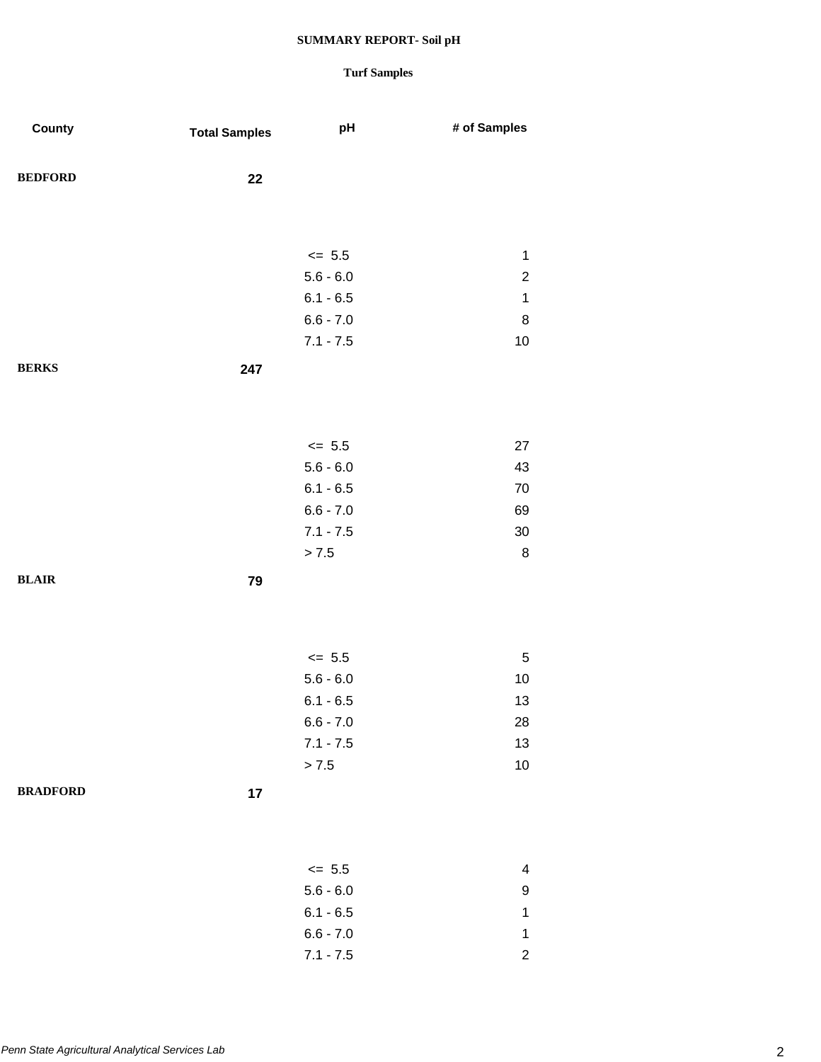### **Turf Samples**

7.1 - 7.5 2

| County          | <b>Total Samples</b> | pH          | # of Samples   |
|-----------------|----------------------|-------------|----------------|
| <b>BEDFORD</b>  | 22                   |             |                |
|                 |                      |             |                |
|                 |                      | $\leq$ 5.5  | $\mathbf{1}$   |
|                 |                      | $5.6 - 6.0$ | $\overline{c}$ |
|                 |                      | $6.1 - 6.5$ | $\mathbf{1}$   |
|                 |                      | $6.6 - 7.0$ | 8              |
|                 |                      | $7.1 - 7.5$ | 10             |
| <b>BERKS</b>    | 247                  |             |                |
|                 |                      |             |                |
|                 |                      |             |                |
|                 |                      | $\leq$ 5.5  | 27             |
|                 |                      | $5.6 - 6.0$ | 43             |
|                 |                      | $6.1 - 6.5$ | 70             |
|                 |                      | $6.6 - 7.0$ | 69             |
|                 |                      | $7.1 - 7.5$ | $30\,$         |
|                 |                      | > 7.5       | $\,8\,$        |
| <b>BLAIR</b>    | 79                   |             |                |
|                 |                      |             |                |
|                 |                      |             |                |
|                 |                      | $\leq$ 5.5  | 5              |
|                 |                      | $5.6 - 6.0$ | 10             |
|                 |                      | $6.1 - 6.5$ | 13             |
|                 |                      | $6.6 - 7.0$ | 28             |
|                 |                      | $7.1 - 7.5$ | 13             |
|                 |                      | > 7.5       | $10$           |
| <b>BRADFORD</b> | 17                   |             |                |
|                 |                      |             |                |
|                 |                      |             |                |
|                 |                      | $\leq$ 5.5  | 4              |
|                 |                      | $5.6 - 6.0$ | 9              |
|                 |                      | $6.1 - 6.5$ | $\mathbf{1}$   |
|                 |                      | $6.6 - 7.0$ | $\mathbf{1}$   |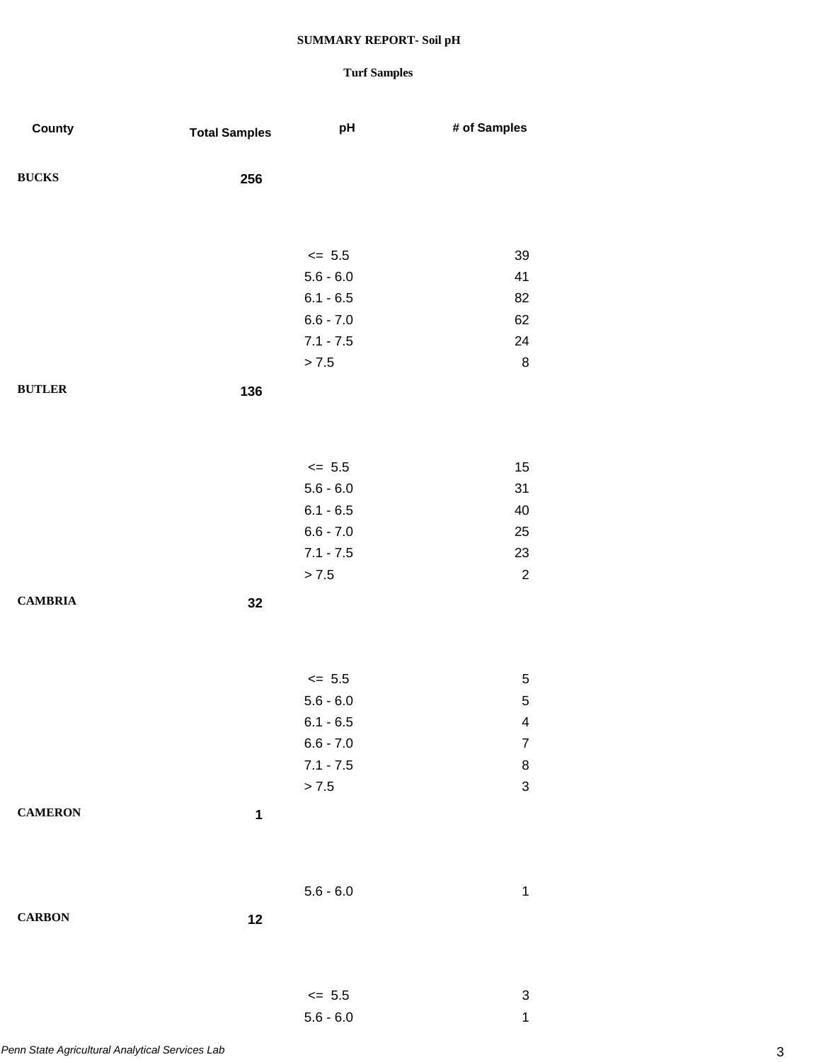### **Turf Samples**

5.6 - 6.0 1

| County         | <b>Total Samples</b> | pH          | # of Samples              |
|----------------|----------------------|-------------|---------------------------|
| <b>BUCKS</b>   | 256                  |             |                           |
|                |                      |             |                           |
|                |                      | $\leq$ 5.5  | 39                        |
|                |                      | $5.6 - 6.0$ | 41                        |
|                |                      | $6.1 - 6.5$ | 82                        |
|                |                      | $6.6 - 7.0$ | 62                        |
|                |                      | $7.1 - 7.5$ | 24                        |
|                |                      | > 7.5       | $\,8\,$                   |
| <b>BUTLER</b>  | 136                  |             |                           |
|                |                      |             |                           |
|                |                      |             |                           |
|                |                      | $\leq$ 5.5  | 15                        |
|                |                      | $5.6 - 6.0$ | 31                        |
|                |                      | $6.1 - 6.5$ | 40                        |
|                |                      | $6.6 - 7.0$ | 25                        |
|                |                      | $7.1 - 7.5$ | 23                        |
|                |                      | > 7.5       | $\overline{c}$            |
| <b>CAMBRIA</b> | 32                   |             |                           |
|                |                      |             |                           |
|                |                      |             |                           |
|                |                      | $\leq 5.5$  | 5                         |
|                |                      | $5.6 - 6.0$ | 5                         |
|                |                      | $6.1 - 6.5$ | $\overline{\mathbf{4}}$   |
|                |                      | $6.6 - 7.0$ | $\boldsymbol{7}$          |
|                |                      | $7.1 - 7.5$ | 8                         |
|                |                      | > 7.5       | $\ensuremath{\mathsf{3}}$ |
| <b>CAMERON</b> | $\mathbf 1$          |             |                           |
|                |                      |             |                           |
|                |                      |             |                           |
|                |                      | $5.6 - 6.0$ | $\mathbf{1}$              |
| <b>CARBON</b>  | 12                   |             |                           |
|                |                      |             |                           |
|                |                      |             |                           |
|                |                      | $\leq$ 5.5  | 3                         |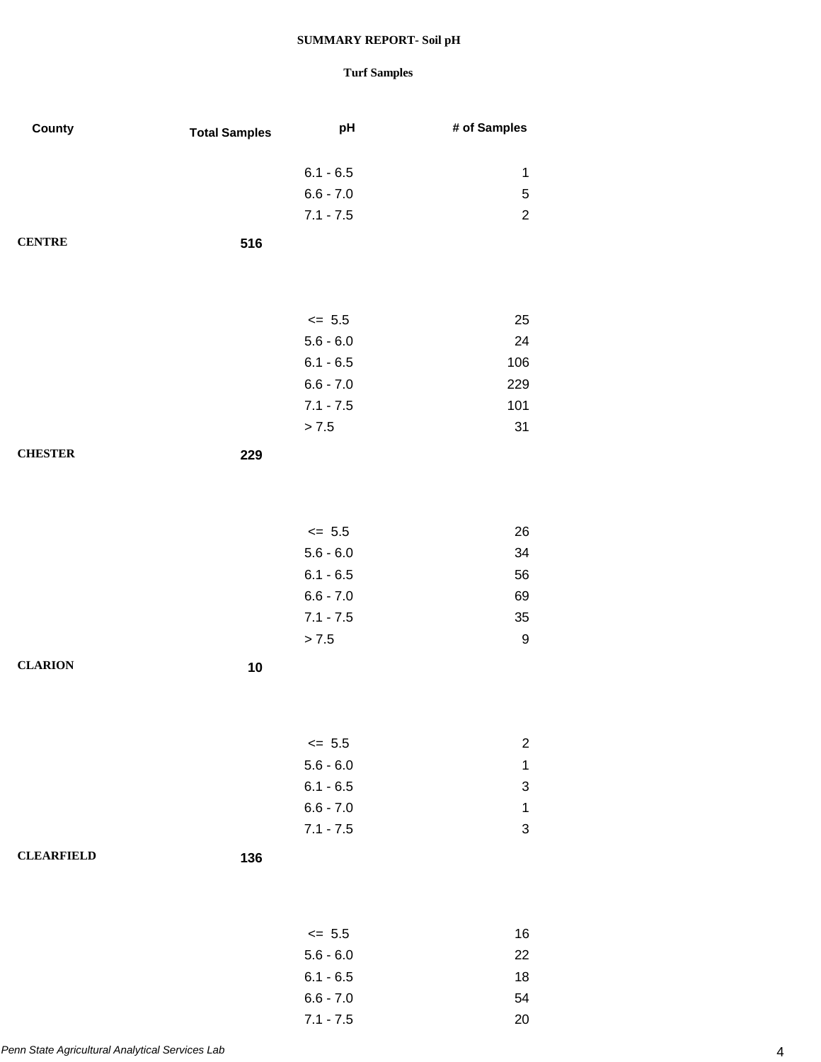## **Turf Samples**

7.1 - 7.5 20

| County            | <b>Total Samples</b> | pH          | # of Samples              |
|-------------------|----------------------|-------------|---------------------------|
|                   |                      | $6.1 - 6.5$ | $\mathbf{1}$              |
|                   |                      | $6.6 - 7.0$ | 5                         |
|                   |                      | $7.1 - 7.5$ | $\overline{2}$            |
| <b>CENTRE</b>     |                      |             |                           |
|                   | 516                  |             |                           |
|                   |                      |             |                           |
|                   |                      |             |                           |
|                   |                      | $\leq$ 5.5  | 25                        |
|                   |                      | $5.6 - 6.0$ | 24                        |
|                   |                      | $6.1 - 6.5$ | 106                       |
|                   |                      | $6.6 - 7.0$ | 229                       |
|                   |                      | $7.1 - 7.5$ | 101                       |
|                   |                      | > 7.5       | 31                        |
| <b>CHESTER</b>    | 229                  |             |                           |
|                   |                      |             |                           |
|                   |                      |             |                           |
|                   |                      | $\leq$ 5.5  | 26                        |
|                   |                      | $5.6 - 6.0$ | 34                        |
|                   |                      | $6.1 - 6.5$ | 56                        |
|                   |                      | $6.6 - 7.0$ | 69                        |
|                   |                      | $7.1 - 7.5$ | $35\,$                    |
|                   |                      | > 7.5       | $\boldsymbol{9}$          |
| <b>CLARION</b>    | 10                   |             |                           |
|                   |                      |             |                           |
|                   |                      |             |                           |
|                   |                      | $= 5.5$     | $\overline{c}$            |
|                   |                      | $5.6 - 6.0$ | $\mathbf{1}$              |
|                   |                      | $6.1 - 6.5$ | $\ensuremath{\mathsf{3}}$ |
|                   |                      | $6.6 - 7.0$ | $\mathbf{1}$              |
|                   |                      | $7.1 - 7.5$ | 3                         |
| <b>CLEARFIELD</b> | 136                  |             |                           |
|                   |                      |             |                           |
|                   |                      |             |                           |
|                   |                      | $\leq$ 5.5  | 16                        |
|                   |                      | $5.6 - 6.0$ | 22                        |
|                   |                      | $6.1 - 6.5$ | 18                        |
|                   |                      | $6.6 - 7.0$ | 54                        |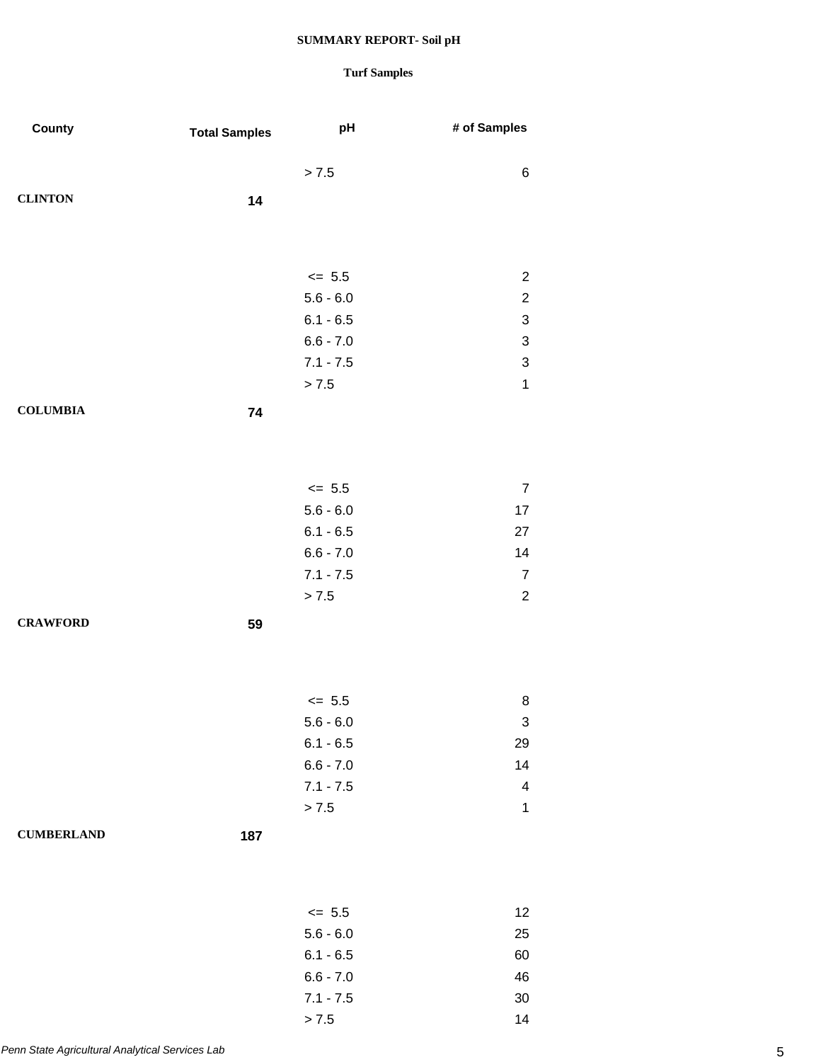| County            | <b>Total Samples</b> | pH                         | # of Samples                                           |
|-------------------|----------------------|----------------------------|--------------------------------------------------------|
|                   |                      | > 7.5                      | 6                                                      |
| <b>CLINTON</b>    | 14                   |                            |                                                        |
|                   |                      |                            |                                                        |
|                   |                      |                            |                                                        |
|                   |                      | $\leq$ 5.5                 | $\overline{c}$                                         |
|                   |                      | $5.6 - 6.0$                | $\sqrt{2}$                                             |
|                   |                      | $6.1 - 6.5$<br>$6.6 - 7.0$ | $\ensuremath{\mathsf{3}}$<br>$\ensuremath{\mathsf{3}}$ |
|                   |                      | $7.1 - 7.5$                | $\ensuremath{\mathsf{3}}$                              |
|                   |                      | > 7.5                      | $\mathbf 1$                                            |
| <b>COLUMBIA</b>   | 74                   |                            |                                                        |
|                   |                      |                            |                                                        |
|                   |                      |                            |                                                        |
|                   |                      | $\leq$ 5.5                 | $\overline{7}$                                         |
|                   |                      | $5.6 - 6.0$                | 17                                                     |
|                   |                      | $6.1 - 6.5$                | 27                                                     |
|                   |                      | $6.6 - 7.0$                | 14                                                     |
|                   |                      | $7.1 - 7.5$<br>> 7.5       | $\boldsymbol{7}$<br>$\overline{2}$                     |
| <b>CRAWFORD</b>   | 59                   |                            |                                                        |
|                   |                      |                            |                                                        |
|                   |                      |                            |                                                        |
|                   |                      | $\leq$ 5.5                 | 8                                                      |
|                   |                      | $5.6 - 6.0$                | $\ensuremath{\mathsf{3}}$                              |
|                   |                      | $6.1 - 6.5$                | 29                                                     |
|                   |                      | $6.6 - 7.0$                | 14                                                     |
|                   |                      | $7.1 - 7.5$                | $\overline{4}$                                         |
|                   |                      | > 7.5                      | $\mathbf 1$                                            |
| <b>CUMBERLAND</b> | 187                  |                            |                                                        |
|                   |                      |                            |                                                        |
|                   |                      |                            |                                                        |
|                   |                      | $\leq$ 5.5<br>$5.6 - 6.0$  | 12<br>25                                               |
|                   |                      | $6.1 - 6.5$                | 60                                                     |
|                   |                      | $6.6 - 7.0$                | 46                                                     |
|                   |                      | $7.1 - 7.5$                | $30\,$                                                 |
|                   |                      | > 7.5                      | 14                                                     |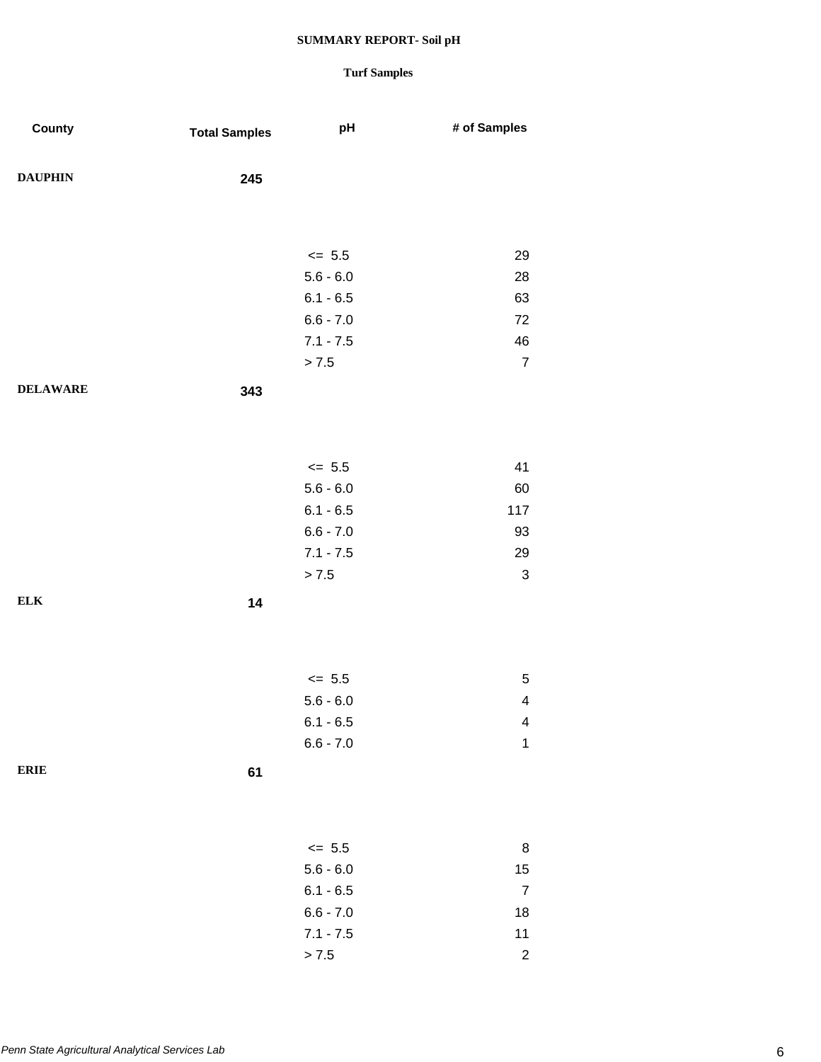| County          | <b>Total Samples</b> | pH          | # of Samples            |
|-----------------|----------------------|-------------|-------------------------|
| <b>DAUPHIN</b>  | 245                  |             |                         |
|                 |                      |             |                         |
|                 |                      | $\leq$ 5.5  | 29                      |
|                 |                      | $5.6 - 6.0$ | 28                      |
|                 |                      | $6.1 - 6.5$ | 63                      |
|                 |                      | $6.6 - 7.0$ | 72                      |
|                 |                      | $7.1 - 7.5$ | 46                      |
|                 |                      | > 7.5       | $\overline{7}$          |
| <b>DELAWARE</b> | 343                  |             |                         |
|                 |                      |             |                         |
|                 |                      |             |                         |
|                 |                      | $\leq$ 5.5  | 41                      |
|                 |                      | $5.6 - 6.0$ | 60                      |
|                 |                      | $6.1 - 6.5$ | 117                     |
|                 |                      | $6.6 - 7.0$ | 93                      |
|                 |                      | $7.1 - 7.5$ | 29                      |
|                 |                      | > 7.5       | $\sqrt{3}$              |
| ${\bf ELK}$     | 14                   |             |                         |
|                 |                      |             |                         |
|                 |                      |             |                         |
|                 |                      | $\leq$ 5.5  | $\,$ 5 $\,$             |
|                 |                      | $5.6 - 6.0$ | $\overline{\mathbf{4}}$ |
|                 |                      | $6.1 - 6.5$ | 4                       |
|                 |                      | $6.6 - 7.0$ | 1                       |
| <b>ERIE</b>     | 61                   |             |                         |
|                 |                      |             |                         |
|                 |                      |             |                         |
|                 |                      | $\leq$ 5.5  | 8                       |
|                 |                      | $5.6 - 6.0$ | 15                      |
|                 |                      | $6.1 - 6.5$ | $\boldsymbol{7}$        |
|                 |                      | $6.6 - 7.0$ | 18                      |
|                 |                      | $7.1 - 7.5$ | $11$                    |
|                 |                      | > 7.5       | $\mathbf 2$             |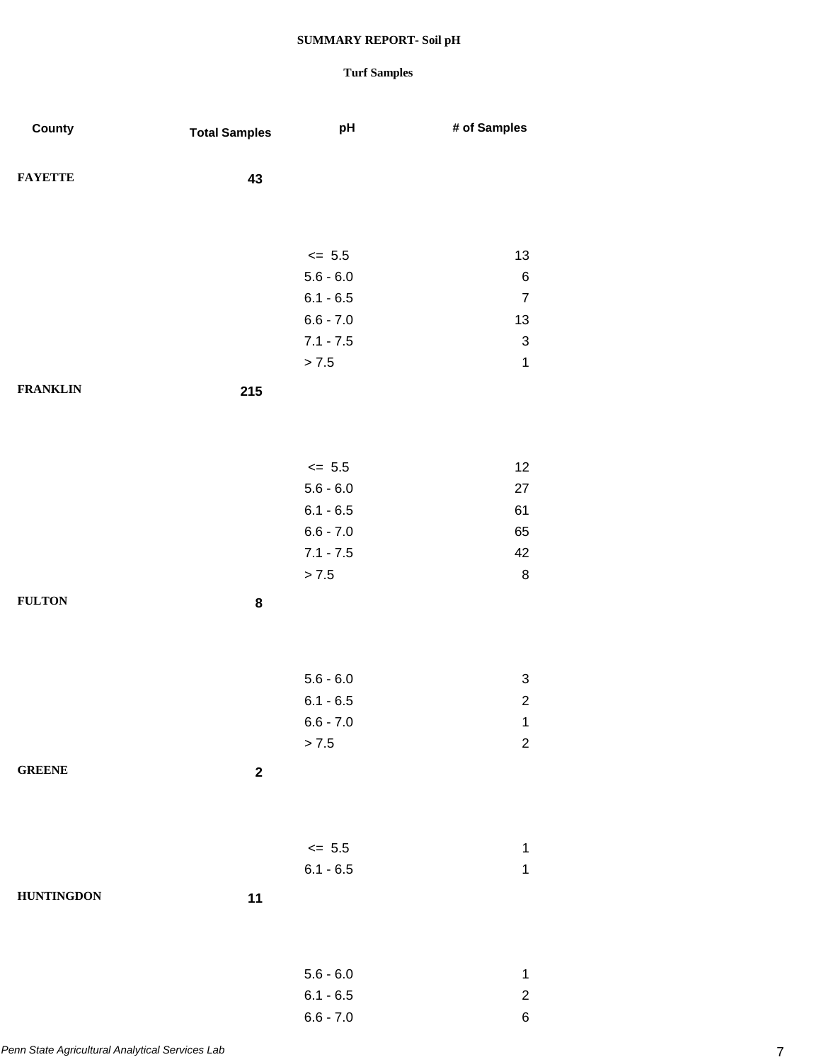| County            | <b>Total Samples</b> | pH                         | # of Samples              |
|-------------------|----------------------|----------------------------|---------------------------|
| <b>FAYETTE</b>    | 43                   |                            |                           |
|                   |                      |                            |                           |
|                   |                      | $\leq$ 5.5                 | 13                        |
|                   |                      | $5.6 - 6.0$                | 6                         |
|                   |                      | $6.1 - 6.5$                | $\boldsymbol{7}$          |
|                   |                      | $6.6 - 7.0$                | 13                        |
|                   |                      | $7.1 - 7.5$                | $\ensuremath{\mathsf{3}}$ |
|                   |                      | > 7.5                      | $\mathbf 1$               |
| <b>FRANKLIN</b>   | 215                  |                            |                           |
|                   |                      |                            |                           |
|                   |                      | $\leq$ 5.5                 | 12                        |
|                   |                      | $5.6 - 6.0$                | 27                        |
|                   |                      | $6.1 - 6.5$                | 61                        |
|                   |                      | $6.6 - 7.0$                | 65                        |
|                   |                      | $7.1 - 7.5$                | 42                        |
|                   |                      | > 7.5                      | $\bf 8$                   |
| <b>FULTON</b>     | ${\bf 8}$            |                            |                           |
|                   |                      |                            |                           |
|                   |                      |                            | 3                         |
|                   |                      | $5.6 - 6.0$<br>$6.1 - 6.5$ | $\overline{c}$            |
|                   |                      | $6.6 - 7.0$                | $\mathbf 1$               |
|                   |                      | $> 7.5$                    | $\boldsymbol{2}$          |
|                   |                      |                            |                           |
| <b>GREENE</b>     | $\boldsymbol{2}$     |                            |                           |
|                   |                      |                            |                           |
|                   |                      | $\leq$ 5.5                 | $\mathbf 1$               |
|                   |                      | $6.1 - 6.5$                | $\mathbf 1$               |
| <b>HUNTINGDON</b> | 11                   |                            |                           |
|                   |                      |                            |                           |
|                   |                      |                            |                           |
|                   |                      | $5.6 - 6.0$                | $\mathbf 1$               |
|                   |                      | $6.1 - 6.5$                | $\overline{c}$            |
|                   |                      | $6.6 - 7.0$                | $\,6$                     |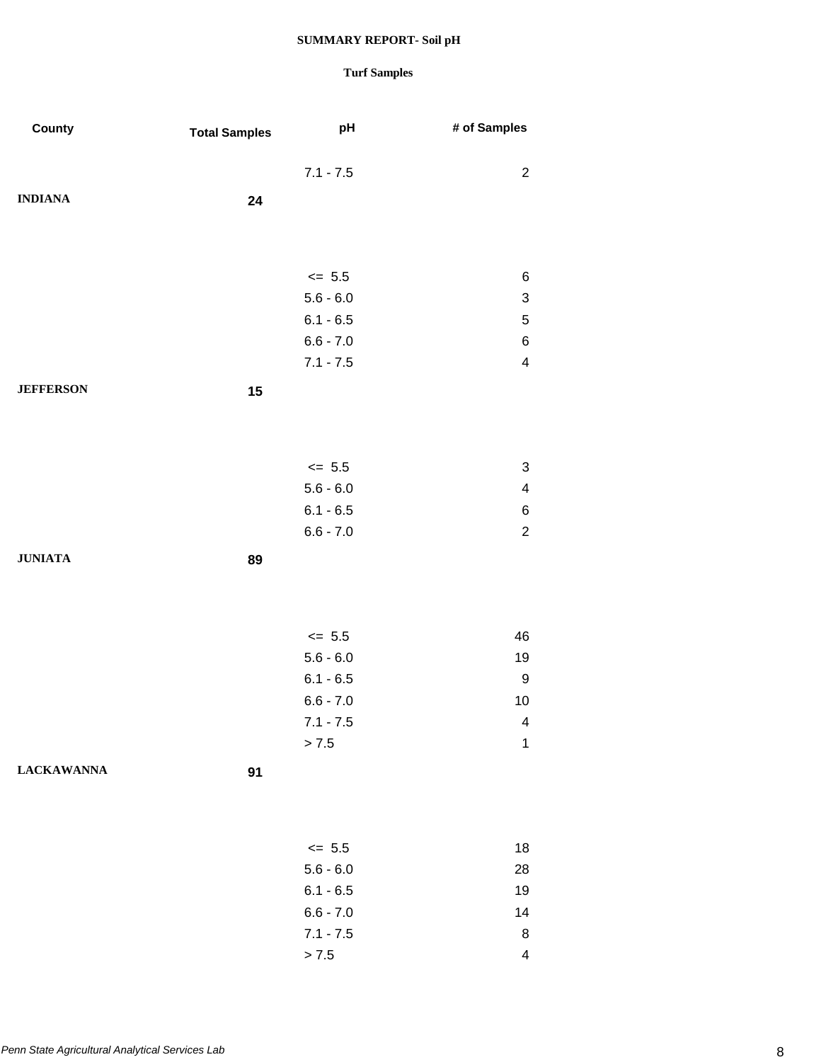| County            | <b>Total Samples</b> | pH          | # of Samples              |
|-------------------|----------------------|-------------|---------------------------|
|                   |                      | $7.1 - 7.5$ | $\overline{c}$            |
| <b>INDIANA</b>    | 24                   |             |                           |
|                   |                      |             |                           |
|                   |                      | $\leq$ 5.5  | 6                         |
|                   |                      | $5.6 - 6.0$ | $\ensuremath{\mathsf{3}}$ |
|                   |                      | $6.1 - 6.5$ | $\sqrt{5}$                |
|                   |                      | $6.6 - 7.0$ | $\,6$                     |
|                   |                      | $7.1 - 7.5$ | $\overline{\mathbf{4}}$   |
| <b>JEFFERSON</b>  | 15                   |             |                           |
|                   |                      |             |                           |
|                   |                      | $\leq$ 5.5  | $\ensuremath{\mathsf{3}}$ |
|                   |                      | $5.6 - 6.0$ | $\overline{\mathbf{4}}$   |
|                   |                      | $6.1 - 6.5$ | $\,6$                     |
|                   |                      | $6.6 - 7.0$ | $\mathbf 2$               |
| <b>JUNIATA</b>    | 89                   |             |                           |
|                   |                      |             |                           |
|                   |                      | $\leq$ 5.5  | 46                        |
|                   |                      | $5.6 - 6.0$ | 19                        |
|                   |                      | $6.1 - 6.5$ | $\boldsymbol{9}$          |
|                   |                      | $6.6 - 7.0$ | $10$                      |
|                   |                      | 7.1 - 7.5   | 4                         |
|                   |                      | > 7.5       | $\mathbf 1$               |
| <b>LACKAWANNA</b> | 91                   |             |                           |
|                   |                      |             |                           |
|                   |                      | $\leq$ 5.5  | 18                        |
|                   |                      | $5.6 - 6.0$ | 28                        |
|                   |                      | $6.1 - 6.5$ | 19                        |
|                   |                      | $6.6 - 7.0$ | 14                        |
|                   |                      | $7.1 - 7.5$ | 8                         |
|                   |                      | > 7.5       | $\overline{\mathbf{4}}$   |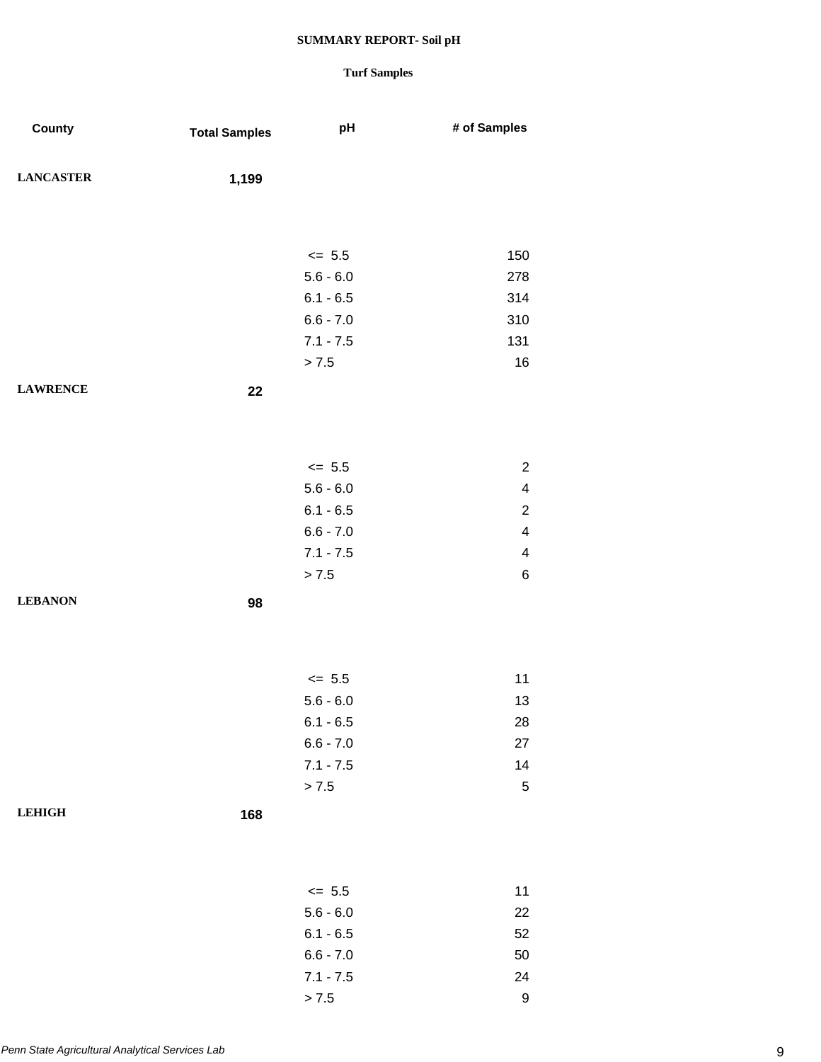| County           | <b>Total Samples</b> | pH          | # of Samples            |
|------------------|----------------------|-------------|-------------------------|
| <b>LANCASTER</b> | 1,199                |             |                         |
|                  |                      |             |                         |
|                  |                      | $\leq$ 5.5  | 150                     |
|                  |                      | $5.6 - 6.0$ | 278                     |
|                  |                      | $6.1 - 6.5$ | 314                     |
|                  |                      | $6.6 - 7.0$ | 310                     |
|                  |                      | $7.1 - 7.5$ | 131                     |
|                  |                      | > 7.5       | 16                      |
| <b>LAWRENCE</b>  | 22                   |             |                         |
|                  |                      |             |                         |
|                  |                      | $\leq$ 5.5  | $\overline{2}$          |
|                  |                      | $5.6 - 6.0$ | $\overline{\mathbf{4}}$ |
|                  |                      | $6.1 - 6.5$ | $\overline{2}$          |
|                  |                      | $6.6 - 7.0$ | $\overline{\mathbf{4}}$ |
|                  |                      | $7.1 - 7.5$ | $\overline{\mathbf{4}}$ |
|                  |                      | > 7.5       | 6                       |
| <b>LEBANON</b>   | 98                   |             |                         |
|                  |                      |             |                         |
|                  |                      | $\leq$ 5.5  | 11                      |
|                  |                      | $5.6 - 6.0$ | 13                      |
|                  |                      | $6.1 - 6.5$ | 28                      |
|                  |                      | $6.6 - 7.0$ | 27                      |
|                  |                      | $7.1 - 7.5$ | 14                      |
|                  |                      | > 7.5       | $\mathbf 5$             |
| <b>LEHIGH</b>    | 168                  |             |                         |
|                  |                      |             |                         |
|                  |                      | $\leq$ 5.5  | 11                      |
|                  |                      | $5.6 - 6.0$ | 22                      |
|                  |                      | $6.1 - 6.5$ | 52                      |
|                  |                      | $6.6 - 7.0$ | 50                      |
|                  |                      | $7.1 - 7.5$ | 24                      |
|                  |                      | > 7.5       | 9                       |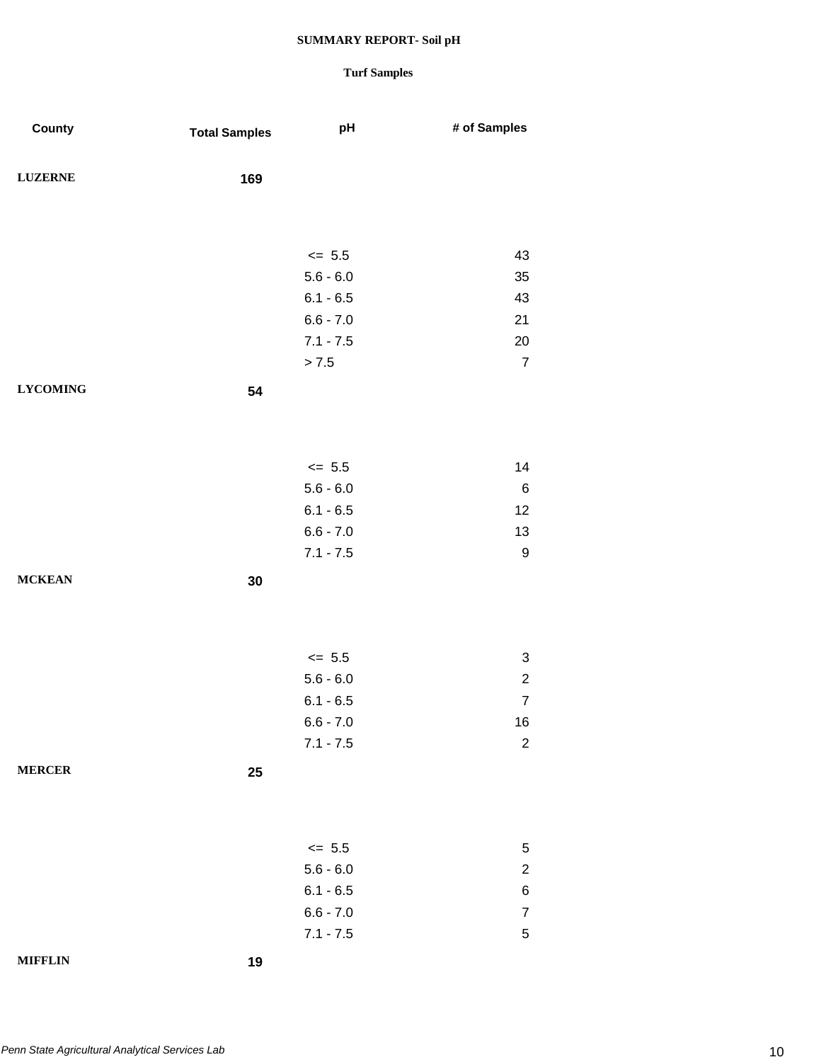| County          | <b>Total Samples</b> | pH                         | # of Samples           |
|-----------------|----------------------|----------------------------|------------------------|
| <b>LUZERNE</b>  | 169                  |                            |                        |
|                 |                      |                            |                        |
|                 |                      | $\leq$ 5.5                 | 43                     |
|                 |                      | $5.6 - 6.0$                | 35                     |
|                 |                      | $6.1 - 6.5$                | 43                     |
|                 |                      | $6.6 - 7.0$                | 21                     |
|                 |                      | $7.1 - 7.5$                | 20                     |
|                 |                      | > 7.5                      | $\boldsymbol{7}$       |
| <b>LYCOMING</b> | 54                   |                            |                        |
|                 |                      |                            |                        |
|                 |                      |                            |                        |
|                 |                      | $\leq$ 5.5                 | 14                     |
|                 |                      | $5.6 - 6.0$                | $\,6\,$                |
|                 |                      | $6.1 - 6.5$                | 12                     |
|                 |                      | $6.6 - 7.0$<br>$7.1 - 7.5$ | 13<br>$\boldsymbol{9}$ |
|                 |                      |                            |                        |
| <b>MCKEAN</b>   | 30                   |                            |                        |
|                 |                      |                            |                        |
|                 |                      |                            |                        |
|                 |                      | $\leq$ 5.5                 | 3                      |
|                 |                      | $5.6 - 6.0$                | $\boldsymbol{2}$       |
|                 |                      | $6.1 - 6.5$                | $\overline{7}$         |
|                 |                      | $6.6 - 7.0$                | 16                     |
|                 |                      | $7.1 - 7.5$                | $\boldsymbol{2}$       |
| <b>MERCER</b>   | 25                   |                            |                        |
|                 |                      |                            |                        |
|                 |                      |                            |                        |
|                 |                      | $\leq$ 5.5                 | $\,$ 5 $\,$            |
|                 |                      | $5.6 - 6.0$                | $\overline{c}$         |
|                 |                      | $6.1 - 6.5$                | 6                      |
|                 |                      | $6.6 - 7.0$                | $\boldsymbol{7}$       |
|                 |                      | $7.1 - 7.5$                | $\overline{5}$         |
| <b>MIFFLIN</b>  | 19                   |                            |                        |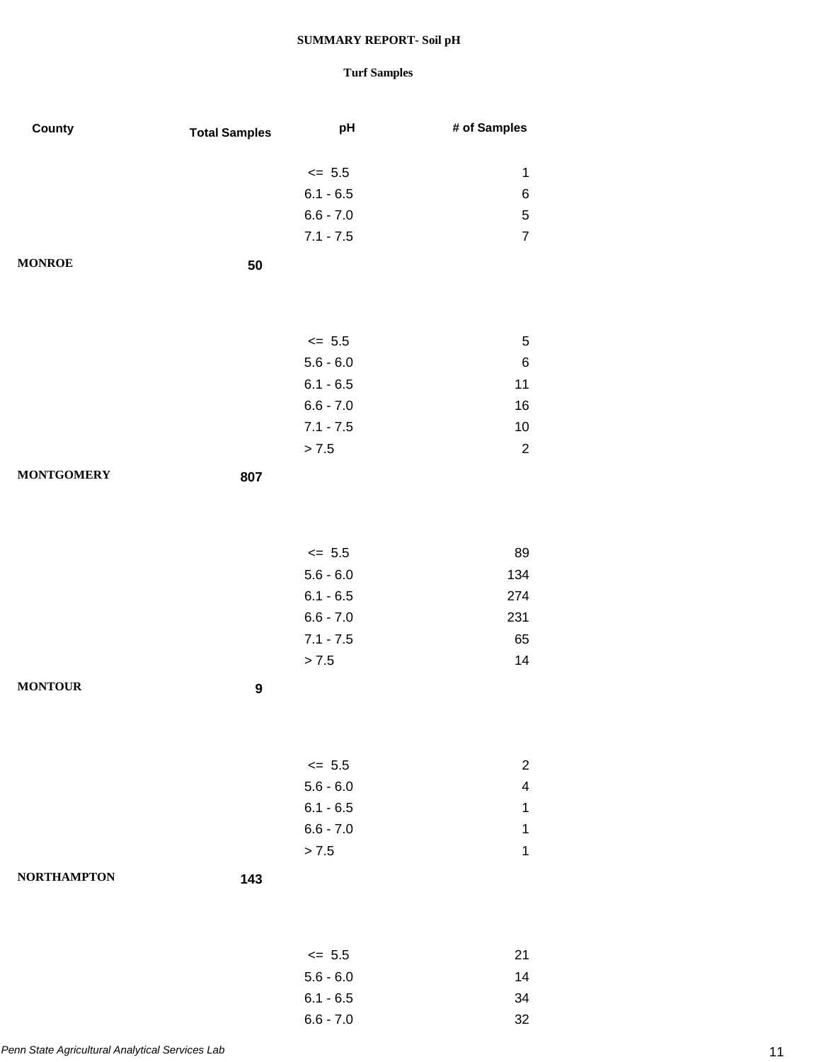| County             | <b>Total Samples</b> | pH                         | # of Samples            |
|--------------------|----------------------|----------------------------|-------------------------|
|                    |                      |                            |                         |
|                    |                      | $\leq$ 5.5                 | 1                       |
|                    |                      | $6.1 - 6.5$                | 6                       |
|                    |                      | $6.6 - 7.0$                | $\mathbf 5$             |
|                    |                      | $7.1 - 7.5$                | $\overline{7}$          |
| <b>MONROE</b>      | 50                   |                            |                         |
|                    |                      |                            |                         |
|                    |                      |                            |                         |
|                    |                      |                            |                         |
|                    |                      | $\leq$ 5.5                 | $\,$ 5 $\,$             |
|                    |                      | $5.6 - 6.0$                | $\,6$<br>11             |
|                    |                      | $6.1 - 6.5$                |                         |
|                    |                      | $6.6 - 7.0$<br>$7.1 - 7.5$ | 16                      |
|                    |                      |                            | 10                      |
|                    |                      | > 7.5                      | $\overline{2}$          |
| <b>MONTGOMERY</b>  | 807                  |                            |                         |
|                    |                      |                            |                         |
|                    |                      |                            |                         |
|                    |                      | $\leq$ 5.5                 | 89                      |
|                    |                      | $5.6 - 6.0$                | 134                     |
|                    |                      | $6.1 - 6.5$                | 274                     |
|                    |                      | $6.6 - 7.0$                | 231                     |
|                    |                      | $7.1 - 7.5$                | 65                      |
|                    |                      | > 7.5                      | 14                      |
| <b>MONTOUR</b>     |                      |                            |                         |
|                    | 9                    |                            |                         |
|                    |                      |                            |                         |
|                    |                      |                            |                         |
|                    |                      | $\leq$ 5.5                 | $\overline{2}$          |
|                    |                      | $5.6 - 6.0$                | $\overline{\mathbf{4}}$ |
|                    |                      | $6.1 - 6.5$                | $\mathbf 1$             |
|                    |                      | $6.6 - 7.0$                | 1                       |
|                    |                      | > 7.5                      | $\mathbf 1$             |
| <b>NORTHAMPTON</b> | 143                  |                            |                         |
|                    |                      |                            |                         |
|                    |                      |                            |                         |
|                    |                      |                            |                         |
|                    |                      | $\leq$ 5.5                 | 21                      |
|                    |                      | $5.6 - 6.0$                | 14                      |
|                    |                      | $6.1 - 6.5$                | 34                      |
|                    |                      | $6.6 - 7.0$                | 32                      |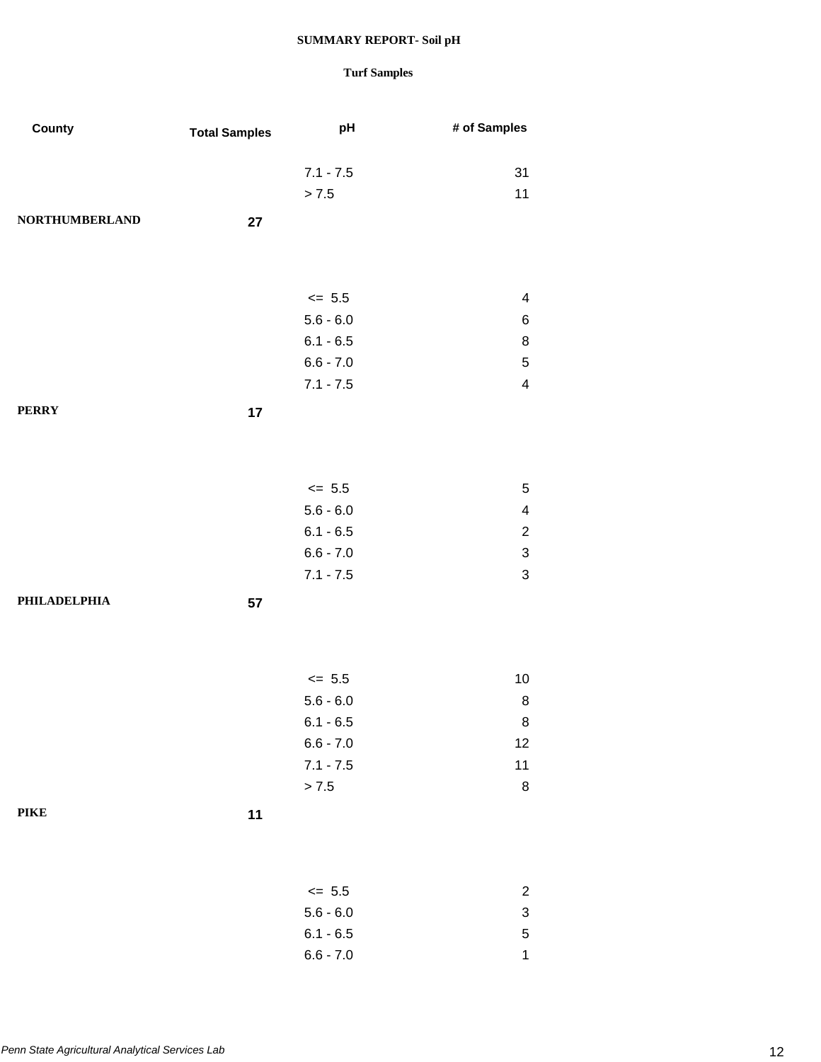### **Turf Samples**

6.6 - 7.0 1

| County                | <b>Total Samples</b> | pH          | # of Samples              |
|-----------------------|----------------------|-------------|---------------------------|
|                       |                      | $7.1 - 7.5$ | 31                        |
|                       |                      | > 7.5       | 11                        |
| <b>NORTHUMBERLAND</b> |                      |             |                           |
|                       | 27                   |             |                           |
|                       |                      |             |                           |
|                       |                      |             |                           |
|                       |                      | $\leq$ 5.5  | 4                         |
|                       |                      | $5.6 - 6.0$ | 6                         |
|                       |                      | $6.1 - 6.5$ | 8                         |
|                       |                      | $6.6 - 7.0$ | $\mathbf 5$               |
|                       |                      | $7.1 - 7.5$ | $\overline{\mathbf{4}}$   |
| <b>PERRY</b>          | 17                   |             |                           |
|                       |                      |             |                           |
|                       |                      |             |                           |
|                       |                      | $\leq$ 5.5  | $\mathbf 5$               |
|                       |                      | $5.6 - 6.0$ | $\overline{\mathcal{A}}$  |
|                       |                      | $6.1 - 6.5$ | $\overline{c}$            |
|                       |                      | $6.6 - 7.0$ | $\ensuremath{\mathsf{3}}$ |
|                       |                      | $7.1 - 7.5$ | $\ensuremath{\mathsf{3}}$ |
| PHILADELPHIA          | 57                   |             |                           |
|                       |                      |             |                           |
|                       |                      |             |                           |
|                       |                      |             |                           |
|                       |                      | $\leq$ 5.5  | 10                        |
|                       |                      | $5.6 - 6.0$ | 8                         |
|                       |                      | $6.1 - 6.5$ | 8                         |
|                       |                      | $6.6 - 7.0$ | 12                        |
|                       |                      | $7.1 - 7.5$ | 11                        |
|                       |                      | > 7.5       | 8                         |
| <b>PIKE</b>           | 11                   |             |                           |
|                       |                      |             |                           |
|                       |                      |             |                           |
|                       |                      | $\leq$ 5.5  | $\overline{2}$            |
|                       |                      | $5.6 - 6.0$ | $\ensuremath{\mathsf{3}}$ |
|                       |                      | $6.1 - 6.5$ | $\,$ 5 $\,$               |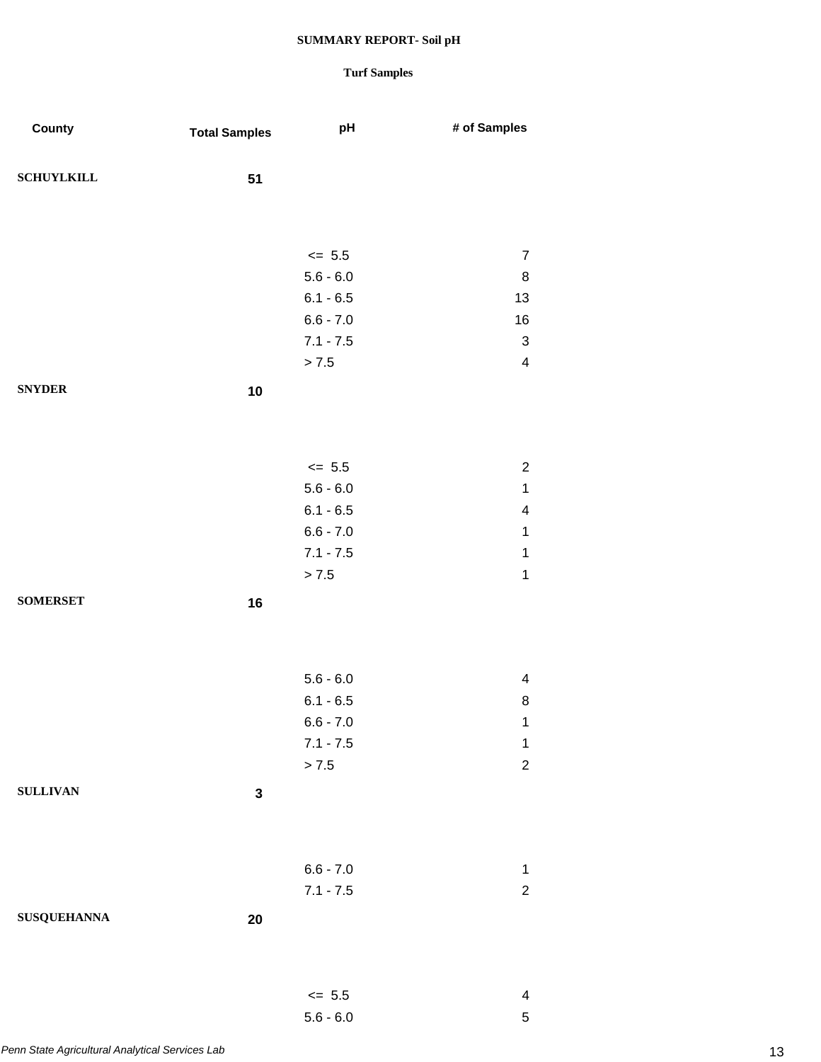### **Turf Samples**

 $5.6 - 6.0$  5

| County             | <b>Total Samples</b> | pH                         | # of Samples                    |
|--------------------|----------------------|----------------------------|---------------------------------|
| <b>SCHUYLKILL</b>  | 51                   |                            |                                 |
|                    |                      |                            |                                 |
|                    |                      |                            |                                 |
|                    |                      | $\leq$ 5.5                 | $\overline{7}$                  |
|                    |                      | $5.6 - 6.0$                | $\, 8$                          |
|                    |                      | $6.1 - 6.5$                | 13                              |
|                    |                      | $6.6 - 7.0$<br>$7.1 - 7.5$ | 16<br>$\ensuremath{\mathsf{3}}$ |
|                    |                      | $> 7.5$                    | $\overline{\mathbf{4}}$         |
| <b>SNYDER</b>      |                      |                            |                                 |
|                    | 10                   |                            |                                 |
|                    |                      |                            |                                 |
|                    |                      |                            |                                 |
|                    |                      | $\leq$ 5.5<br>$5.6 - 6.0$  | $\mathbf{2}$<br>$\mathbf 1$     |
|                    |                      | $6.1 - 6.5$                | $\overline{\mathbf{4}}$         |
|                    |                      | $6.6 - 7.0$                | $\mathbf 1$                     |
|                    |                      | $7.1 - 7.5$                | $\mathbf 1$                     |
|                    |                      | > 7.5                      | $\mathbf 1$                     |
| <b>SOMERSET</b>    | 16                   |                            |                                 |
|                    |                      |                            |                                 |
|                    |                      |                            |                                 |
|                    |                      | $5.6 - 6.0$                | $\overline{\mathbf{4}}$         |
|                    |                      | $6.1 - 6.5$                | 8                               |
|                    |                      | $6.6 - 7.0$                | 1                               |
|                    |                      | $7.1 - 7.5$                | $\mathbf 1$                     |
|                    |                      | $> 7.5$                    | $\overline{c}$                  |
| <b>SULLIVAN</b>    | $\mathbf 3$          |                            |                                 |
|                    |                      |                            |                                 |
|                    |                      |                            |                                 |
|                    |                      | $6.6 - 7.0$                | $\mathbf 1$                     |
|                    |                      | $7.1 - 7.5$                | $\overline{c}$                  |
| <b>SUSQUEHANNA</b> | 20                   |                            |                                 |
|                    |                      |                            |                                 |
|                    |                      |                            |                                 |
|                    |                      | $\leq$ 5.5                 | $\overline{\mathbf{4}}$         |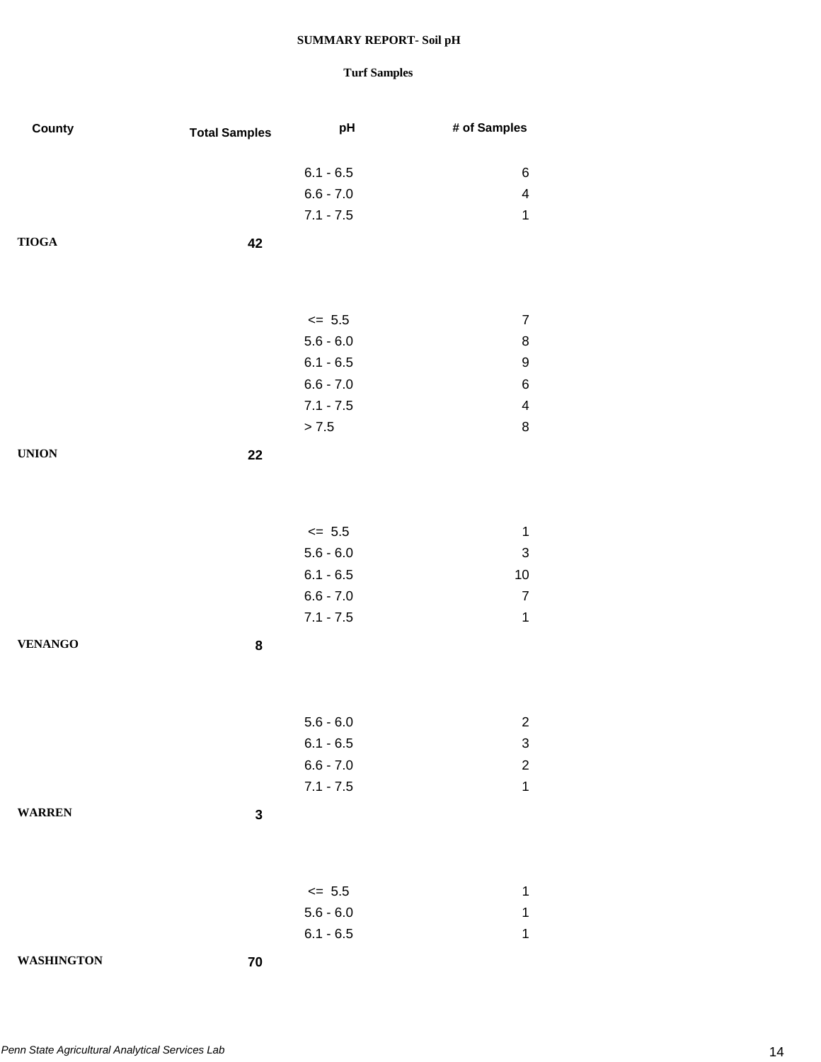| County            | <b>Total Samples</b> | pH          | # of Samples            |
|-------------------|----------------------|-------------|-------------------------|
|                   |                      |             |                         |
|                   |                      | $6.1 - 6.5$ | 6                       |
|                   |                      | $6.6 - 7.0$ | $\overline{\mathbf{4}}$ |
|                   |                      | $7.1 - 7.5$ | $\mathbf{1}$            |
| <b>TIOGA</b>      | 42                   |             |                         |
|                   |                      |             |                         |
|                   |                      |             |                         |
|                   |                      | $\leq$ 5.5  | $\overline{7}$          |
|                   |                      | $5.6 - 6.0$ | 8                       |
|                   |                      | $6.1 - 6.5$ | 9                       |
|                   |                      | $6.6 - 7.0$ | 6                       |
|                   |                      | $7.1 - 7.5$ | $\overline{\mathbf{4}}$ |
|                   |                      | > 7.5       | 8                       |
| <b>UNION</b>      | 22                   |             |                         |
|                   |                      |             |                         |
|                   |                      |             |                         |
|                   |                      |             |                         |
|                   |                      | $\le$ 5.5   | 1                       |
|                   |                      | $5.6 - 6.0$ | 3                       |
|                   |                      | $6.1 - 6.5$ | 10                      |
|                   |                      | $6.6 - 7.0$ | $\overline{7}$          |
|                   |                      | $7.1 - 7.5$ | $\mathbf{1}$            |
| <b>VENANGO</b>    | 8                    |             |                         |
|                   |                      |             |                         |
|                   |                      |             |                         |
|                   |                      | $5.6 - 6.0$ | $\overline{c}$          |
|                   |                      | $6.1 - 6.5$ | 3                       |
|                   |                      | $6.6 - 7.0$ | $\overline{c}$          |
|                   |                      | $7.1 - 7.5$ | $\mathbf{1}$            |
|                   |                      |             |                         |
| <b>WARREN</b>     | 3                    |             |                         |
|                   |                      |             |                         |
|                   |                      |             |                         |
|                   |                      | $\leq$ 5.5  | 1                       |
|                   |                      | $5.6 - 6.0$ | 1                       |
|                   |                      | $6.1 - 6.5$ | $\mathbf{1}$            |
| <b>WASHINGTON</b> | 70                   |             |                         |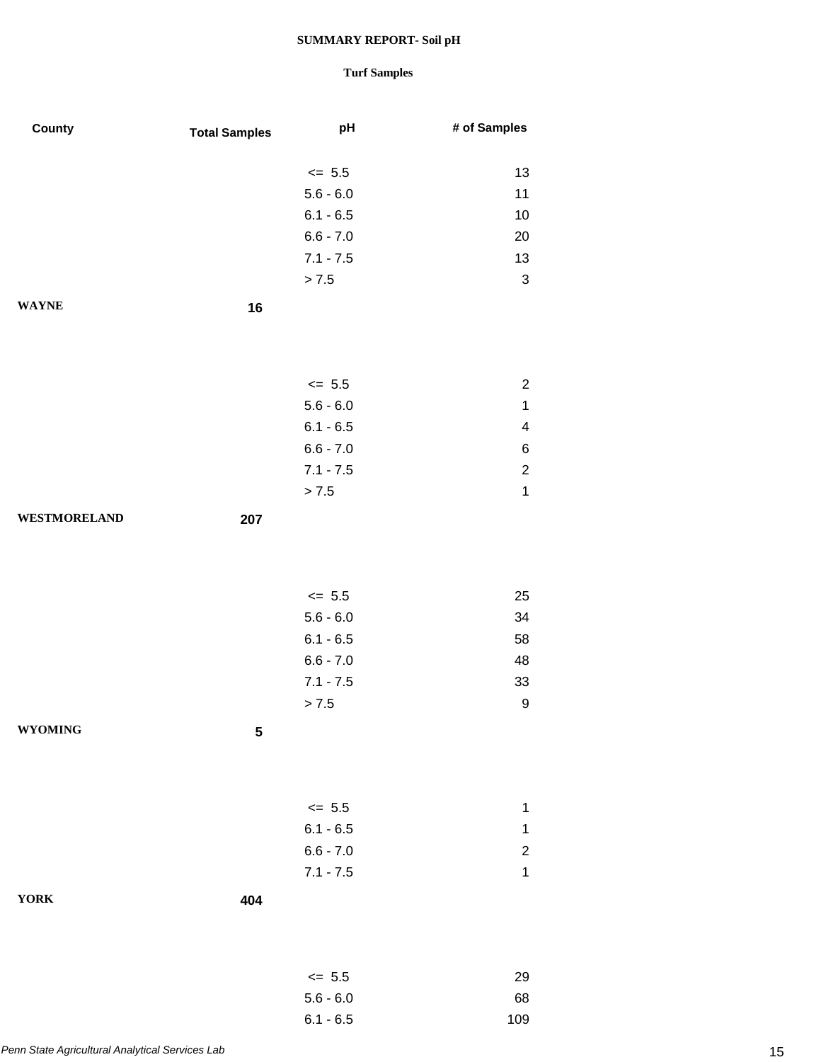| County              | <b>Total Samples</b> | pH          | # of Samples              |
|---------------------|----------------------|-------------|---------------------------|
|                     |                      | $\leq$ 5.5  | 13                        |
|                     |                      | $5.6 - 6.0$ | 11                        |
|                     |                      | $6.1 - 6.5$ | 10                        |
|                     |                      | $6.6 - 7.0$ | 20                        |
|                     |                      | $7.1 - 7.5$ | 13                        |
|                     |                      | > 7.5       | $\ensuremath{\mathsf{3}}$ |
| <b>WAYNE</b>        | 16                   |             |                           |
|                     |                      |             |                           |
|                     |                      | $\leq$ 5.5  | $\overline{c}$            |
|                     |                      | $5.6 - 6.0$ | $\mathbf{1}$              |
|                     |                      | $6.1 - 6.5$ | $\overline{\mathbf{4}}$   |
|                     |                      | $6.6 - 7.0$ | 6                         |
|                     |                      | $7.1 - 7.5$ | $\mathbf{2}$              |
|                     |                      | > 7.5       | $\mathbf 1$               |
| <b>WESTMORELAND</b> | 207                  |             |                           |
|                     |                      |             |                           |
|                     |                      | $\leq$ 5.5  | 25                        |
|                     |                      | $5.6 - 6.0$ | 34                        |
|                     |                      | $6.1 - 6.5$ | 58                        |
|                     |                      | $6.6 - 7.0$ | 48                        |
|                     |                      | $7.1 - 7.5$ | 33                        |
|                     |                      | > 7.5       | 9                         |
| <b>WYOMING</b>      | 5                    |             |                           |
|                     |                      |             |                           |
|                     |                      | $= 5.5$     | 1                         |
|                     |                      | $6.1 - 6.5$ | 1                         |
|                     |                      | $6.6 - 7.0$ | $\overline{c}$            |
|                     |                      | $7.1 - 7.5$ | $\mathbf 1$               |
| <b>YORK</b>         | 404                  |             |                           |
|                     |                      |             |                           |
|                     |                      | $\leq$ 5.5  | 29                        |
|                     |                      | $5.6 - 6.0$ | 68                        |
|                     |                      | $6.1 - 6.5$ | 109                       |